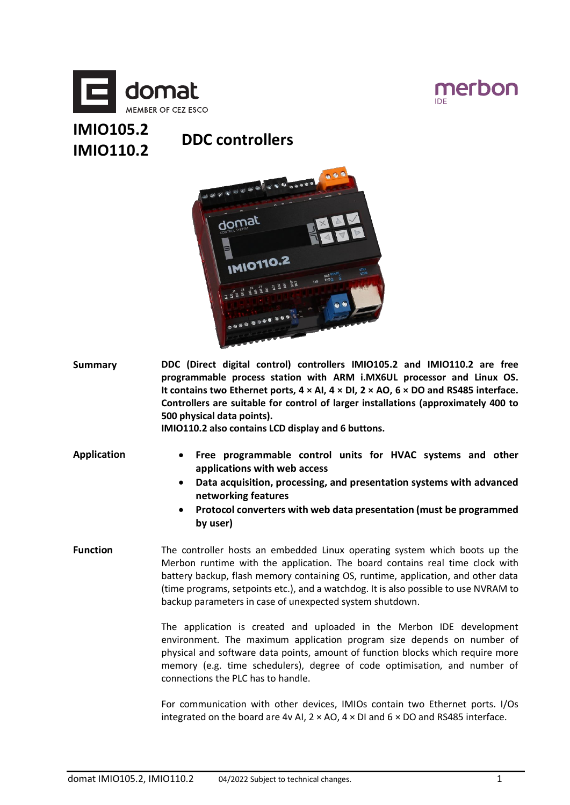



# **IMIO105.2 IMIO110.2 DDC controllers**



**Summary DDC (Direct digital control) controllers IMIO105.2 and IMIO110.2 are free programmable process station with ARM i.MX6UL processor and Linux OS. It contains two Ethernet ports, 4 × AI, 4 × DI, 2 × AO, 6 × DO and RS485 interface. Controllers are suitable for control of larger installations (approximately 400 to 500 physical data points).**

**IMIO110.2 also contains LCD display and 6 buttons.**

- **Application Free programmable control units for HVAC systems and other** 
	- **applications with web access** • **Data acquisition, processing, and presentation systems with advanced networking features**
	- **Protocol converters with web data presentation (must be programmed by user)**
- **Function** The controller hosts an embedded Linux operating system which boots up the Merbon runtime with the application. The board contains real time clock with battery backup, flash memory containing OS, runtime, application, and other data (time programs, setpoints etc.), and a watchdog. It is also possible to use NVRAM to backup parameters in case of unexpected system shutdown.

The application is created and uploaded in the Merbon IDE development environment. The maximum application program size depends on number of physical and software data points, amount of function blocks which require more memory (e.g. time schedulers), degree of code optimisation, and number of connections the PLC has to handle.

For communication with other devices, IMIOs contain two Ethernet ports. I/Os integrated on the board are 4v AI,  $2 \times$  AO,  $4 \times$  DI and  $6 \times$  DO and RS485 interface.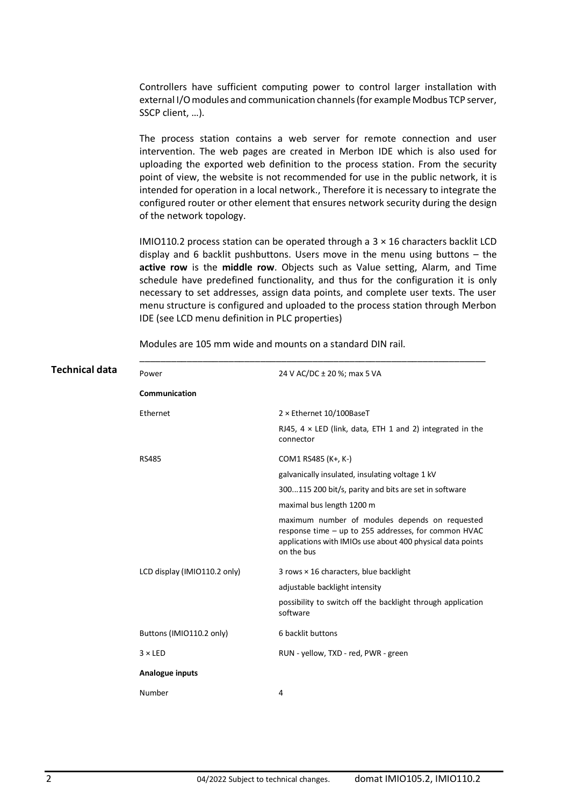Controllers have sufficient computing power to control larger installation with external I/O modules and communication channels (for example Modbus TCP server, SSCP client, …).

The process station contains a web server for remote connection and user intervention. The web pages are created in Merbon IDE which is also used for uploading the exported web definition to the process station. From the security point of view, the website is not recommended for use in the public network, it is intended for operation in a local network., Therefore it is necessary to integrate the configured router or other element that ensures network security during the design of the network topology.

IMIO110.2 process station can be operated through a  $3 \times 16$  characters backlit LCD display and 6 backlit pushbuttons. Users move in the menu using buttons – the **active row** is the **middle row**. Objects such as Value setting, Alarm, and Time schedule have predefined functionality, and thus for the configuration it is only necessary to set addresses, assign data points, and complete user texts. The user menu structure is configured and uploaded to the process station through Merbon IDE (see LCD menu definition in PLC properties)

| Technical data | Power                        | 24 V AC/DC ± 20 %; max 5 VA                                                                                                                                                        |
|----------------|------------------------------|------------------------------------------------------------------------------------------------------------------------------------------------------------------------------------|
|                | Communication                |                                                                                                                                                                                    |
|                | Ethernet                     | $2 \times$ Ethernet 10/100BaseT                                                                                                                                                    |
|                |                              | RJ45, $4 \times$ LED (link, data, ETH 1 and 2) integrated in the<br>connector                                                                                                      |
|                | <b>RS485</b>                 | COM1 RS485 (K+, K-)                                                                                                                                                                |
|                |                              | galvanically insulated, insulating voltage 1 kV                                                                                                                                    |
|                |                              | 300115 200 bit/s, parity and bits are set in software                                                                                                                              |
|                |                              | maximal bus length 1200 m                                                                                                                                                          |
|                |                              | maximum number of modules depends on requested<br>response time - up to 255 addresses, for common HVAC<br>applications with IMIOs use about 400 physical data points<br>on the bus |
|                | LCD display (IMIO110.2 only) | 3 rows × 16 characters, blue backlight                                                                                                                                             |
|                |                              | adjustable backlight intensity                                                                                                                                                     |
|                |                              | possibility to switch off the backlight through application<br>software                                                                                                            |
|                | Buttons (IMIO110.2 only)     | 6 backlit buttons                                                                                                                                                                  |
|                | $3 \times$ LED               | RUN - yellow, TXD - red, PWR - green                                                                                                                                               |
|                | Analogue inputs              |                                                                                                                                                                                    |
|                | Number                       | 4                                                                                                                                                                                  |

Modules are 105 mm wide and mounts on a standard DIN rail.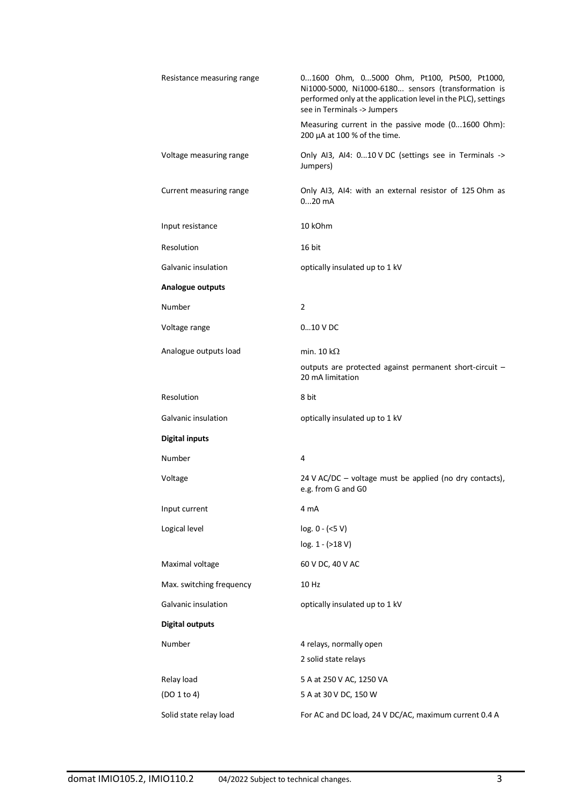| Resistance measuring range | 01600 Ohm, 05000 Ohm, Pt100, Pt500, Pt1000,<br>Ni1000-5000, Ni1000-6180 sensors (transformation is<br>performed only at the application level in the PLC), settings<br>see in Terminals -> Jumpers |  |
|----------------------------|----------------------------------------------------------------------------------------------------------------------------------------------------------------------------------------------------|--|
|                            | Measuring current in the passive mode (01600 Ohm):<br>200 μA at 100 % of the time.                                                                                                                 |  |
| Voltage measuring range    | Only AI3, AI4: 010 V DC (settings see in Terminals -><br>Jumpers)                                                                                                                                  |  |
| Current measuring range    | Only AI3, AI4: with an external resistor of 125 Ohm as<br>$020$ mA                                                                                                                                 |  |
| Input resistance           | 10 kOhm                                                                                                                                                                                            |  |
| Resolution                 | 16 bit                                                                                                                                                                                             |  |
| Galvanic insulation        | optically insulated up to 1 kV                                                                                                                                                                     |  |
| Analogue outputs           |                                                                                                                                                                                                    |  |
| Number                     | 2                                                                                                                                                                                                  |  |
| Voltage range              | $010$ V DC                                                                                                                                                                                         |  |
| Analogue outputs load      | min. 10 k $\Omega$                                                                                                                                                                                 |  |
|                            | outputs are protected against permanent short-circuit -<br>20 mA limitation                                                                                                                        |  |
| Resolution                 | 8 bit                                                                                                                                                                                              |  |
| Galvanic insulation        | optically insulated up to 1 kV                                                                                                                                                                     |  |
| <b>Digital inputs</b>      |                                                                                                                                                                                                    |  |
| Number                     | 4                                                                                                                                                                                                  |  |
| Voltage                    | 24 V AC/DC – voltage must be applied (no dry contacts),<br>e.g. from G and G0                                                                                                                      |  |
| Input current              | 4 mA                                                                                                                                                                                               |  |
| Logical level              | $log. 0 - (<5 V)$<br>log. 1 - (>18 V)                                                                                                                                                              |  |
| Maximal voltage            | 60 V DC, 40 V AC                                                                                                                                                                                   |  |
| Max. switching frequency   | 10 Hz                                                                                                                                                                                              |  |
| Galvanic insulation        | optically insulated up to 1 kV                                                                                                                                                                     |  |
| <b>Digital outputs</b>     |                                                                                                                                                                                                    |  |
| Number                     | 4 relays, normally open<br>2 solid state relays                                                                                                                                                    |  |
| Relay load                 | 5 A at 250 V AC, 1250 VA                                                                                                                                                                           |  |
| (DO 1 to 4)                | 5 A at 30 V DC, 150 W                                                                                                                                                                              |  |
| Solid state relay load     | For AC and DC load, 24 V DC/AC, maximum current 0.4 A                                                                                                                                              |  |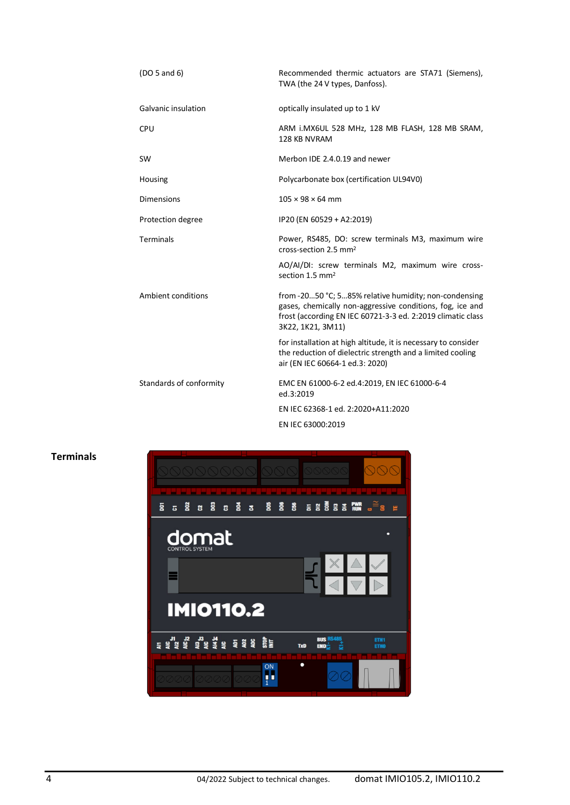| (DO <sub>5</sub> and 6) | Recommended thermic actuators are STA71 (Siemens),<br>TWA (the 24 V types, Danfoss).                                                                                                                   |  |
|-------------------------|--------------------------------------------------------------------------------------------------------------------------------------------------------------------------------------------------------|--|
| Galvanic insulation     | optically insulated up to 1 kV                                                                                                                                                                         |  |
| <b>CPU</b>              | ARM i.MX6UL 528 MHz, 128 MB FLASH, 128 MB SRAM,<br>128 KB NVRAM                                                                                                                                        |  |
| SW                      | Merbon IDE 2.4.0.19 and newer                                                                                                                                                                          |  |
| Housing                 | Polycarbonate box (certification UL94V0)                                                                                                                                                               |  |
| <b>Dimensions</b>       | $105 \times 98 \times 64$ mm                                                                                                                                                                           |  |
| Protection degree       | IP20 (EN 60529 + A2:2019)                                                                                                                                                                              |  |
| <b>Terminals</b>        | Power, RS485, DO: screw terminals M3, maximum wire<br>cross-section 2.5 mm <sup>2</sup>                                                                                                                |  |
|                         | AO/AI/DI: screw terminals M2, maximum wire cross-<br>section 1.5 mm <sup>2</sup>                                                                                                                       |  |
| Ambient conditions      | from -2050 °C; 585% relative humidity; non-condensing<br>gases, chemically non-aggressive conditions, fog, ice and<br>frost (according EN IEC 60721-3-3 ed. 2:2019 climatic class<br>3K22, 1K21, 3M11) |  |
|                         | for installation at high altitude, it is necessary to consider<br>the reduction of dielectric strength and a limited cooling<br>air (EN IEC 60664-1 ed.3: 2020)                                        |  |
| Standards of conformity | EMC EN 61000-6-2 ed.4:2019, EN IEC 61000-6-4<br>ed.3:2019                                                                                                                                              |  |
|                         | EN IEC 62368-1 ed. 2:2020+A11:2020                                                                                                                                                                     |  |
|                         | EN IEC 63000:2019                                                                                                                                                                                      |  |

## **Terminals**

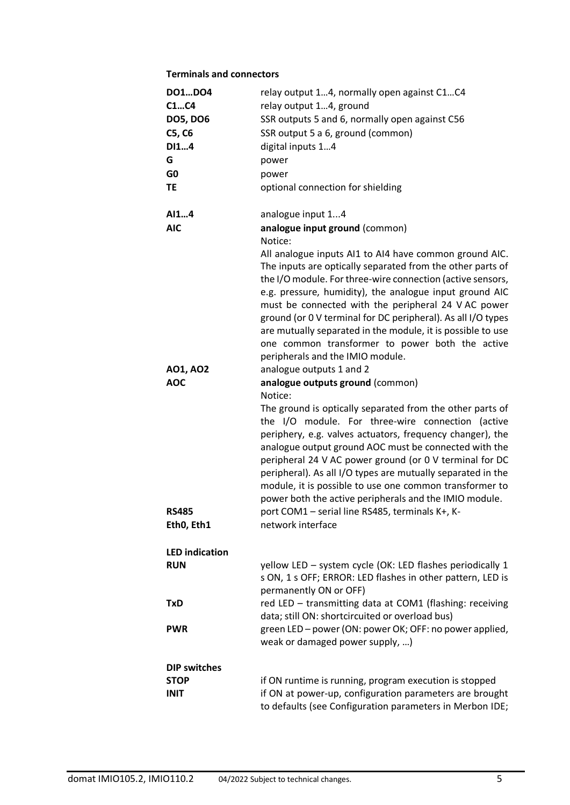### **Terminals and connectors**

| DO1DO4                | relay output 14, normally open against C1C4                                                                                                                                                                                                                                                                                                                                                                                                                                         |  |
|-----------------------|-------------------------------------------------------------------------------------------------------------------------------------------------------------------------------------------------------------------------------------------------------------------------------------------------------------------------------------------------------------------------------------------------------------------------------------------------------------------------------------|--|
| C1C4                  | relay output 14, ground                                                                                                                                                                                                                                                                                                                                                                                                                                                             |  |
| <b>DO5, DO6</b>       | SSR outputs 5 and 6, normally open against C56                                                                                                                                                                                                                                                                                                                                                                                                                                      |  |
| C5, C6                | SSR output 5 a 6, ground (common)                                                                                                                                                                                                                                                                                                                                                                                                                                                   |  |
| DI14                  | digital inputs 14                                                                                                                                                                                                                                                                                                                                                                                                                                                                   |  |
| G                     | power                                                                                                                                                                                                                                                                                                                                                                                                                                                                               |  |
| G <sub>0</sub>        | power                                                                                                                                                                                                                                                                                                                                                                                                                                                                               |  |
| TE                    | optional connection for shielding                                                                                                                                                                                                                                                                                                                                                                                                                                                   |  |
| AI14                  | analogue input 14                                                                                                                                                                                                                                                                                                                                                                                                                                                                   |  |
| <b>AIC</b>            | analogue input ground (common)<br>Notice:                                                                                                                                                                                                                                                                                                                                                                                                                                           |  |
|                       | All analogue inputs AI1 to AI4 have common ground AIC.                                                                                                                                                                                                                                                                                                                                                                                                                              |  |
|                       | The inputs are optically separated from the other parts of                                                                                                                                                                                                                                                                                                                                                                                                                          |  |
|                       | the I/O module. For three-wire connection (active sensors,                                                                                                                                                                                                                                                                                                                                                                                                                          |  |
|                       | e.g. pressure, humidity), the analogue input ground AIC                                                                                                                                                                                                                                                                                                                                                                                                                             |  |
|                       | must be connected with the peripheral 24 VAC power                                                                                                                                                                                                                                                                                                                                                                                                                                  |  |
|                       | ground (or 0 V terminal for DC peripheral). As all I/O types                                                                                                                                                                                                                                                                                                                                                                                                                        |  |
|                       | are mutually separated in the module, it is possible to use                                                                                                                                                                                                                                                                                                                                                                                                                         |  |
|                       | one common transformer to power both the active                                                                                                                                                                                                                                                                                                                                                                                                                                     |  |
|                       | peripherals and the IMIO module.                                                                                                                                                                                                                                                                                                                                                                                                                                                    |  |
| AO1, AO2              | analogue outputs 1 and 2                                                                                                                                                                                                                                                                                                                                                                                                                                                            |  |
| <b>AOC</b>            | analogue outputs ground (common)<br>Notice:                                                                                                                                                                                                                                                                                                                                                                                                                                         |  |
|                       | The ground is optically separated from the other parts of<br>the I/O module. For three-wire connection (active<br>periphery, e.g. valves actuators, frequency changer), the<br>analogue output ground AOC must be connected with the<br>peripheral 24 V AC power ground (or 0 V terminal for DC<br>peripheral). As all I/O types are mutually separated in the<br>module, it is possible to use one common transformer to<br>power both the active peripherals and the IMIO module. |  |
| <b>RS485</b>          | port COM1 - serial line RS485, terminals K+, K-                                                                                                                                                                                                                                                                                                                                                                                                                                     |  |
| Eth0, Eth1            | network interface                                                                                                                                                                                                                                                                                                                                                                                                                                                                   |  |
| <b>LED indication</b> |                                                                                                                                                                                                                                                                                                                                                                                                                                                                                     |  |
| <b>RUN</b>            | yellow LED - system cycle (OK: LED flashes periodically 1<br>s ON, 1 s OFF; ERROR: LED flashes in other pattern, LED is<br>permanently ON or OFF)                                                                                                                                                                                                                                                                                                                                   |  |
| TxD                   | red LED - transmitting data at COM1 (flashing: receiving<br>data; still ON: shortcircuited or overload bus)                                                                                                                                                                                                                                                                                                                                                                         |  |
| <b>PWR</b>            | green LED - power (ON: power OK; OFF: no power applied,<br>weak or damaged power supply, )                                                                                                                                                                                                                                                                                                                                                                                          |  |
| <b>DIP switches</b>   |                                                                                                                                                                                                                                                                                                                                                                                                                                                                                     |  |
| <b>STOP</b>           | if ON runtime is running, program execution is stopped                                                                                                                                                                                                                                                                                                                                                                                                                              |  |
| <b>INIT</b>           | if ON at power-up, configuration parameters are brought<br>to defaults (see Configuration parameters in Merbon IDE;                                                                                                                                                                                                                                                                                                                                                                 |  |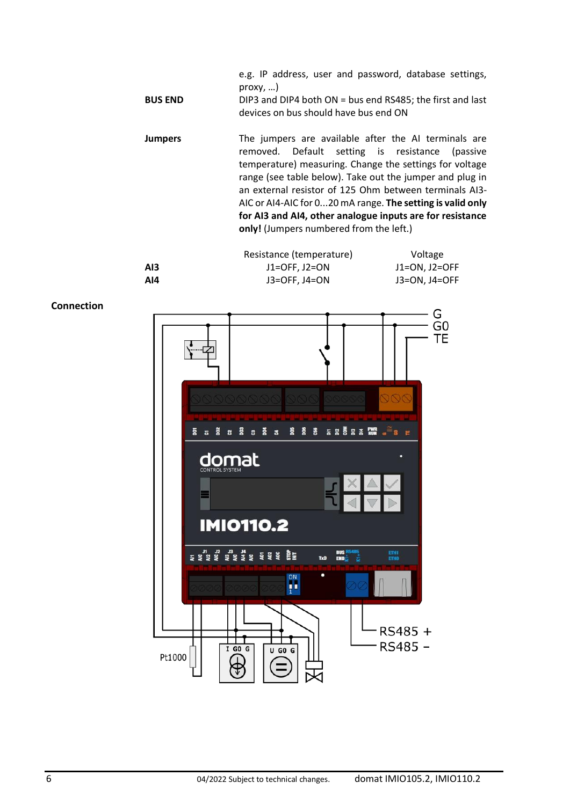| <b>BUS END</b> | e.g. IP address, user and password, database settings,<br>prox(y, )<br>DIP3 and DIP4 both ON = bus end RS485; the first and last<br>devices on bus should have bus end ON |
|----------------|---------------------------------------------------------------------------------------------------------------------------------------------------------------------------|
| Jumpers        | The jumpers are available after the AI terminals are<br>removed. Default setting is resistance (passive                                                                   |

removed. Default setting is resistance (passive temperature) measuring. Change the settings for voltage range (see table below). Take out the jumper and plug in an external resistor of 125 Ohm between terminals AI3- AIC or AI4-AIC for 0...20 mA range. **The setting is valid only for AI3 and AI4, other analogue inputs are for resistance only!** (Jumpers numbered from the left.)



**Connection**

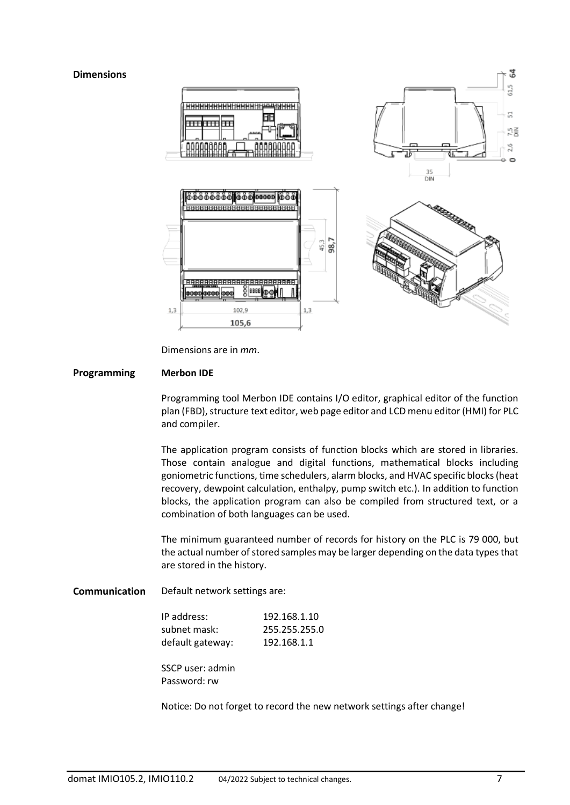#### **Dimensions**



Dimensions are in *mm*.

#### **Programming Merbon IDE**

Programming tool Merbon IDE contains I/O editor, graphical editor of the function plan (FBD), structure text editor, web page editor and LCD menu editor (HMI) for PLC and compiler.

The application program consists of function blocks which are stored in libraries. Those contain analogue and digital functions, mathematical blocks including goniometric functions, time schedulers, alarm blocks, and HVAC specific blocks (heat recovery, dewpoint calculation, enthalpy, pump switch etc.). In addition to function blocks, the application program can also be compiled from structured text, or a combination of both languages can be used.

The minimum guaranteed number of records for history on the PLC is 79 000, but the actual number of stored samples may be larger depending on the data types that are stored in the history.

**Communication** Default network settings are:

| IP address:      | 192.168.1.10  |
|------------------|---------------|
| subnet mask:     | 255.255.255.0 |
| default gateway: | 192.168.1.1   |

SSCP user: admin Password: rw

Notice: Do not forget to record the new network settings after change!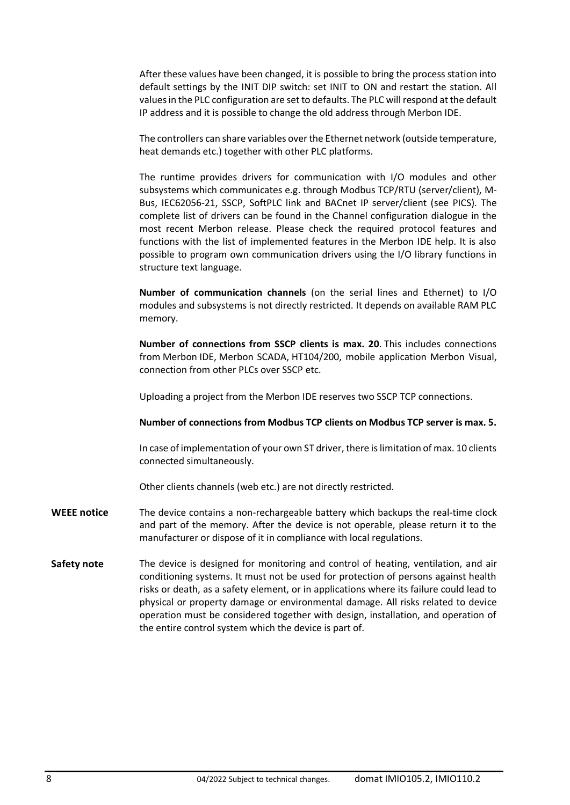After these values have been changed, it is possible to bring the process station into default settings by the INIT DIP switch: set INIT to ON and restart the station. All values in the PLC configuration are set to defaults. The PLC will respond at the default IP address and it is possible to change the old address through Merbon IDE.

The controllers can share variables over the Ethernet network (outside temperature, heat demands etc.) together with other PLC platforms.

The runtime provides drivers for communication with I/O modules and other subsystems which communicates e.g. through Modbus TCP/RTU (server/client), M-Bus, IEC62056-21, SSCP, SoftPLC link and BACnet IP server/client (see PICS). The complete list of drivers can be found in the Channel configuration dialogue in the most recent Merbon release. Please check the required protocol features and functions with the list of implemented features in the Merbon IDE help. It is also possible to program own communication drivers using the I/O library functions in structure text language.

**Number of communication channels** (on the serial lines and Ethernet) to I/O modules and subsystems is not directly restricted. It depends on available RAM PLC memory.

**Number of connections from SSCP clients is max. 20**. This includes connections from Merbon IDE, Merbon SCADA, HT104/200, mobile application Merbon Visual, connection from other PLCs over SSCP etc.

Uploading a project from the Merbon IDE reserves two SSCP TCP connections.

**Number of connections from Modbus TCP clients on Modbus TCP server is max. 5.** 

In case of implementation of your own ST driver, there is limitation of max. 10 clients connected simultaneously.

Other clients channels (web etc.) are not directly restricted.

- **WEEE notice** The device contains a non-rechargeable battery which backups the real-time clock and part of the memory. After the device is not operable, please return it to the manufacturer or dispose of it in compliance with local regulations.
- Safety note The device is designed for monitoring and control of heating, ventilation, and air conditioning systems. It must not be used for protection of persons against health risks or death, as a safety element, or in applications where its failure could lead to physical or property damage or environmental damage. All risks related to device operation must be considered together with design, installation, and operation of the entire control system which the device is part of.